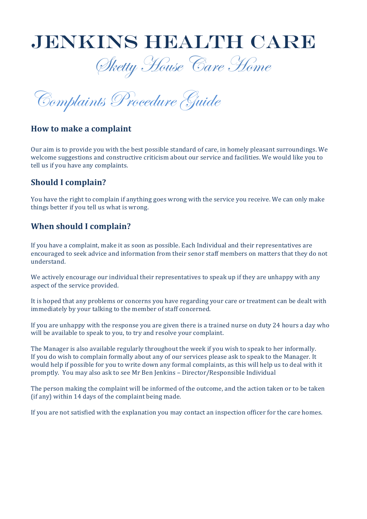

Sketty House Care Home

Complaints Procedure Guide

### **How to make a complaint**

Our aim is to provide you with the best possible standard of care, in homely pleasant surroundings. We welcome suggestions and constructive criticism about our service and facilities. We would like you to tell us if you have any complaints.

## **Should I complain?**

You have the right to complain if anything goes wrong with the service you receive. We can only make things better if you tell us what is wrong.

## **When** should I complain?

If you have a complaint, make it as soon as possible. Each Individual and their representatives are encouraged to seek advice and information from their senor staff members on matters that they do not understand. 

We actively encourage our individual their representatives to speak up if they are unhappy with any aspect of the service provided.

It is hoped that any problems or concerns you have regarding your care or treatment can be dealt with immediately by your talking to the member of staff concerned.

If you are unhappy with the response you are given there is a trained nurse on duty 24 hours a day who will be available to speak to you, to try and resolve your complaint.

The Manager is also available regularly throughout the week if you wish to speak to her informally. If you do wish to complain formally about any of our services please ask to speak to the Manager. It would help if possible for you to write down any formal complaints, as this will help us to deal with it promptly. You may also ask to see Mr Ben Jenkins - Director/Responsible Individual

The person making the complaint will be informed of the outcome, and the action taken or to be taken (if any) within  $14$  days of the complaint being made.

If you are not satisfied with the explanation you may contact an inspection officer for the care homes.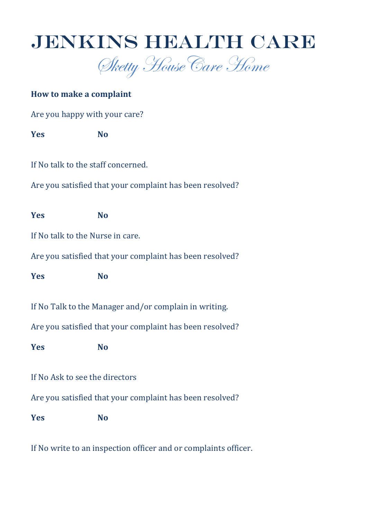



# **How to make a complaint**

Are you happy with your care?

**Yes No**

If No talk to the staff concerned.

Are you satisfied that your complaint has been resolved?

**Yes No**

If No talk to the Nurse in care.

Are you satisfied that your complaint has been resolved?

**Yes No**

If No Talk to the Manager and/or complain in writing.

Are you satisfied that your complaint has been resolved?

**Yes No**

If No Ask to see the directors

Are you satisfied that your complaint has been resolved?

**Yes No**

If No write to an inspection officer and or complaints officer.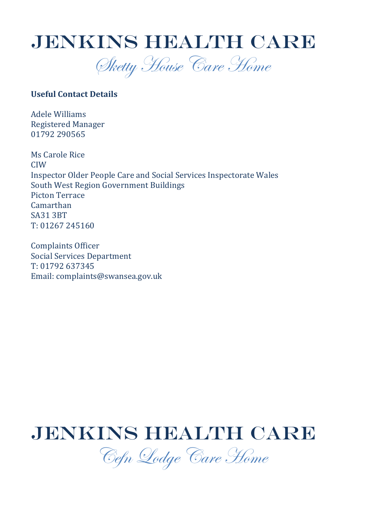

Sketty House Care Home

### **Useful Contact Details**

Adele Williams Registered Manager 01792 290565

Ms Carole Rice CIW Inspector Older People Care and Social Services Inspectorate Wales South West Region Government Buildings Picton Terrace Camarthan SA31 3BT T: 01267 245160

Complaints Officer Social Services Department T: 01792 637345 Email: complaints@swansea.gov.uk

# JENKINS HEALTH CARE

Cefn Lodge Care Home